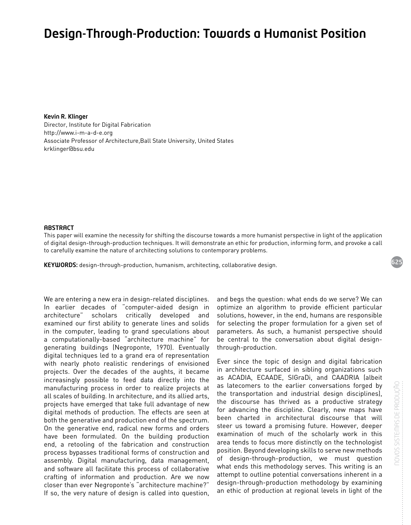# Design-Through-Production: Towards a Humanist Position

Kevin R. Klinger Director, Institute for Digital Fabrication <http://www.i-m-a-d-e.org> Associate Professor of Architecture,Ball State University, United States [krklinger@bsu.edu](mailto:krklinger@bsu.edu)

#### **ABSTRACT**

This paper will examine the necessity for shifting the discourse towards a more humanist perspective in light of the application of digital design-through-production techniques. It will demonstrate an ethic for production, informing form, and provoke a call to carefully examine the nature of architecting solutions to contemporary problems.

KEYWORDS: design-through-production, humanism, architecting, collaborative design.

We are entering a new era in design-related disciplines. In earlier decades of "computer-aided design in architecture" scholars critically developed and examined our first ability to generate lines and solids in the computer, leading to grand speculations about a computationally-based "architecture machine" for generating buildings (Negroponte, 1970). Eventually digital techniques led to a grand era of representation with nearly photo realistic renderings of envisioned projects. Over the decades of the aughts, it became increasingly possible to feed data directly into the manufacturing process in order to realize projects at all scales of building. In architecture, and its allied arts, projects have emerged that take full advantage of new digital methods of production. The effects are seen at both the generative and production end of the spectrum. On the generative end, radical new forms and orders have been formulated. On the building production end, a retooling of the fabrication and construction process bypasses traditional forms of construction and assembly. Digital manufacturing, data management, and software all facilitate this process of collaborative crafting of information and production. Are we now closer than ever Negroponte's "architecture machine?" If so, the very nature of design is called into question,

and begs the question: what ends do we serve? We can optimize an algorithm to provide efficient particular solutions, however, in the end, humans are responsible for selecting the proper formulation for a given set of parameters. As such, a humanist perspective should be central to the conversation about digital designthrough-production.

Ever since the topic of design and digital fabrication in architecture surfaced in sibling organizations such as ACADIA, ECAADE, SIGraDi, and CAADRIA (albeit as latecomers to the earlier conversations forged by the transportation and industrial design disciplines), the discourse has thrived as a productive strategy for advancing the discipline. Clearly, new maps have been charted in architectural discourse that will steer us toward a promising future. However, deeper examination of much of the scholarly work in this area tends to focus more distinctly on the technologist position. Beyond developing skills to serve new methods of design-through-production, we must question what ends this methodology serves. This writing is an attempt to outline potential conversations inherent in a design-through-production methodology by examining an ethic of production at regional levels in light of the

625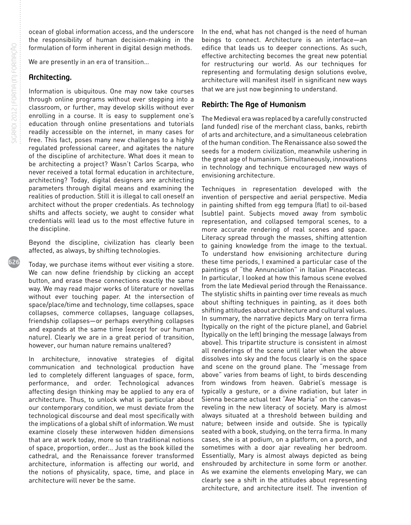626

ocean of global information access, and the underscore the responsibility of human decision-making in the formulation of form inherent in digital design methods.

We are presently in an era of transition…

#### Architecting.

Information is ubiquitous. One may now take courses through online programs without ever stepping into a classroom, or further, may develop skills without ever enrolling in a course. It is easy to supplement one's education through online presentations and tutorials readily accessible on the internet, in many cases for free. This fact, poses many new challenges to a highly regulated professional career, and agitates the nature of the discipline of architecture. What does it mean to be architecting a project? Wasn't Carlos Scarpa, who never received a total formal education in architecture, architecting? Today, digital designers are architecting parameters through digital means and examining the realities of production. Still it is illegal to call oneself an architect without the proper credentials. As technology shifts and affects society, we aught to consider what credentials will lead us to the most effective future in the discipline.

Beyond the discipline, civilization has clearly been affected, as always, by shifting technologies.

Today, we purchase items without ever visiting a store. We can now define friendship by clicking an accept button, and erase these connections exactly the same way. We may read major works of literature or novellas without ever touching paper. At the intersection of space/place/time and technology, time collapses, space collapses, commerce collapses, language collapses, friendship collapses—or perhaps everything collapses and expands at the same time (except for our human nature). Clearly we are in a great period of transition, however, our human nature remains unaltered?

In architecture, innovative strategies of digital communication and technological production have led to completely different languages of space, form, performance, and order. Technological advances affecting design thinking may be applied to any era of architecture. Thus, to unlock what is particular about our contemporary condition, we must deviate from the technological discourse and deal most specifically with the implications of a global shift of information. We must examine closely these interwoven hidden dimensions that are at work today, more so than traditional notions of space, proportion, order... Just as the book killed the cathedral, and the Renaissance forever transformed architecture, information is affecting our world, and the notions of physicality, space, time, and place in architecture will never be the same.

In the end, what has not changed is the need of human beings to connect. Architecture is an interface—an edifice that leads us to deeper connections. As such, effective architecting becomes the great new potential for restructuring our world. As our techniques for representing and formulating design solutions evolve, architecture will manifest itself in significant new ways that we are just now beginning to understand.

## Rebirth: The Age of Humanism

The Medieval era was replaced by a carefully constructed (and funded) rise of the merchant class, banks, rebirth of arts and architecture, and a simultaneous celebration of the human condition. The Renaissance also sowed the seeds for a modern civilization, meanwhile ushering in the great age of humanism. Simultaneously, innovations in technology and technique encouraged new ways of envisioning architecture.

Techniques in representation developed with the invention of perspective and aerial perspective. Media in painting shifted from egg tempura (flat) to oil-based (subtle) paint. Subjects moved away from symbolic representation, and collapsed temporal scenes, to a more accurate rendering of real scenes and space. Literacy spread through the masses, shifting attention to gaining knowledge from the image to the textual. To understand how envisioning architecture during these time periods, I examined a particular case of the paintings of "the Annunciation" in Italian Pinacotecas. In particular, I looked at how this famous scene evolved from the late Medieval period through the Renaissance. The stylistic shifts in painting over time reveals as much about shifting techniques in painting, as it does both shifting attitudes about architecture and cultural values. In summary, the narrative depicts Mary on terra firma (typically on the right of the picture plane), and Gabriel (typically on the left) bringing the message (always from above). This tripartite structure is consistent in almost all renderings of the scene until later when the above dissolves into sky and the focus clearly is on the space and scene on the ground plane. The "message from above" varies from beams of light, to birds descending from windows from heaven. Gabriel's message is typically a gesture, or a divine radiation, but later in Sienna became actual text "Ave Maria" on the canvas reveling in the new literacy of society. Mary is almost always situated at a threshold between building and nature; between inside and outside. She is typically seated with a book, studying, on the terra firma. In many cases, she is at podium, on a platform, on a porch, and sometimes with a door ajar revealing her bedroom. Essentially, Mary is almost always depicted as being enshrouded by architecture in some form or another. As we examine the elements enveloping Mary, we can clearly see a shift in the attitudes about representing architecture, and architecture itself. The invention of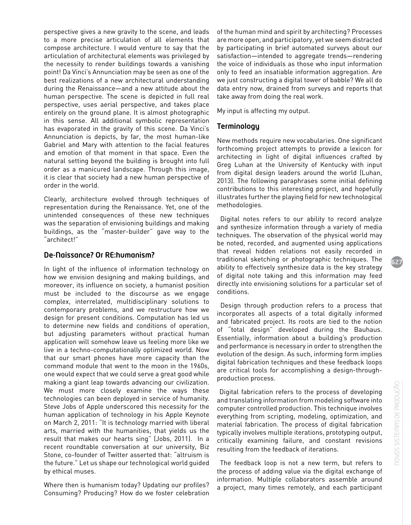perspective gives a new gravity to the scene, and leads to a more precise articulation of all elements that compose architecture. I would venture to say that the articulation of architectural elements was privileged by the necessity to render buildings towards a vanishing point! Da Vinci's Annunciation may be seen as one of the best realizations of a new architectural understanding during the Renaissance—and a new attitude about the human perspective. The scene is depicted in full real perspective, uses aerial perspective, and takes place entirely on the ground plane. It is almost photographic in this sense. All additional symbolic representation has evaporated in the gravity of this scene. Da Vinci's Annunciation is depicts, by far, the most human-like Gabriel and Mary with attention to the facial features and emotion of that moment in that space. Even the natural setting beyond the building is brought into full order as a manicured landscape. Through this image, it is clear that society had a new human perspective of order in the world.

Clearly, architecture evolved through techniques of representation during the Renaissance. Yet, one of the unintended consequences of these new techniques was the separation of envisioning buildings and making buildings, as the "master-builder" gave way to the "architect!"

#### De-Naissance? Or RE:humanism?

In light of the influence of information technology on how we envision designing and making buildings, and moreover, its influence on society, a humanist position must be included to the discourse as we engage complex, interrelated, multidisciplinary solutions to contemporary problems, and we restructure how we design for present conditions. Computation has led us to determine new fields and conditions of operation, but adjusting parameters without practical human application will somehow leave us feeling more like we live in a techno-computationally optimized world. Now that our smart phones have more capacity than the command module that went to the moon in the 1960s, one would expect that we could serve a great good while making a giant leap towards advancing our civilization. We must more closely examine the ways these technologies can been deployed in service of humanity. Steve Jobs of Apple underscored this necessity for the human application of technology in his Apple Keynote on March 2, 2011: "It is technology married with liberal arts, married with the humanities, that yields us the result that makes our hearts sing" (Jobs, 2011). In a recent roundtable conversation at our university, Biz Stone, co-founder of Twitter asserted that: "altruism is the future." Let us shape our technological world guided by ethical muses.

Where then is humanism today? Updating our profiles? Consuming? Producing? How do we foster celebration of the human mind and spirit by architecting? Processes are more open, and participatory, yet we seem distracted by participating in brief automated surveys about our satisfaction—intended to aggregate trends—rendering the voice of individuals as those who input information only to feed an insatiable information aggregation. Are we just constructing a digital tower of babble? We all do data entry now, drained from surveys and reports that take away from doing the real work.

My input is affecting my output.

#### **Terminology**

New methods require new vocabularies. One significant forthcoming project attempts to provide a lexicon for architecting in light of digital influences crafted by Greg Luhan at the University of Kentucky with input from digital design leaders around the world (Luhan, 2013). The following paraphrases some initial defining contributions to this interesting project, and hopefully illustrates further the playing field for new technological methodologies.

 Digital notes refers to our ability to record analyze and synthesize information through a variety of media techniques. The observation of the physical world may be noted, recorded, and augmented using applications that reveal hidden relations not easily recorded in traditional sketching or photographic techniques. The ability to effectively synthesize data is the key strategy of digital note taking and this information may feed directly into envisioning solutions for a particular set of conditions.

 Design through production refers to a process that incorporates all aspects of a total digitally informed and fabricated project. Its roots are tied to the notion of "total design" developed during the Bauhaus. Essentially, information about a building's production and performance is necessary in order to strengthen the evolution of the design. As such, informing form implies digital fabrication techniques and these feedback loops are critical tools for accomplishing a design-throughproduction process.

 Digital fabrication refers to the process of developing and translating information from modeling software into computer controlled production. This technique involves everything from scripting, modeling, optimization, and material fabrication. The process of digital fabrication typically involves multiple iterations, prototyping output, critically examining failure, and constant revisions resulting from the feedback of iterations.

 The feedback loop is not a new term, but refers to the process of adding value via the digital exchange of information. Multiple collaborators assemble around a project, many times remotely, and each participant

627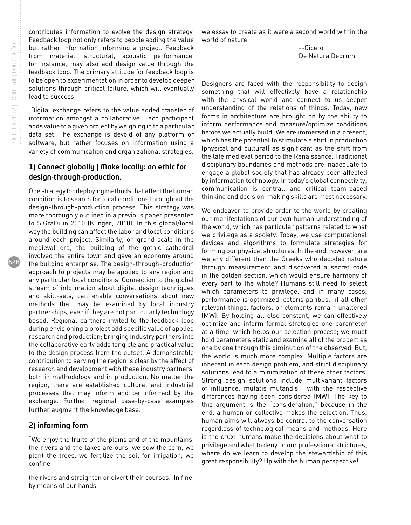628

contributes information to evolve the design strategy. Feedback loop not only refers to people adding the value but rather information informing a project. Feedback from material, structural, acoustic performance, for instance, may also add design value through the feedback loop. The primary attitude for feedback loop is to be open to experimentation in order to develop deeper solutions through critical failure, which will eventually lead to success.

 Digital exchange refers to the value added transfer of information amongst a collaborative. Each participant adds value to a given project by weighing in to a particular data set. The exchange is devoid of any platform or software, but rather focuses on information using a variety of communication and organizational strategies.

### 1) Connect globally | Make locally: an ethic for design-through-production.

One strategy for deploying methods that affect the human condition is to search for local conditions throughout the design-through-production process. This strategy was more thoroughly outlined in a previous paper presented to SIGraDi in 2010 (Klinger, 2010). In this global/local way the building can affect the labor and local conditions around each project. Similarly, on grand scale in the medieval era, the building of the gothic cathedral involved the entire town and gave an economy around the building enterprise. The design-through-production approach to projects may be applied to any region and any particular local conditions. Connection to the global stream of information about digital design techniques and skill-sets, can enable conversations about new methods that may be examined by local industry partnerships, even if they are not particularly technology based. Regional partners invited to the feedback loop during envisioning a project add specific value of applied research and production; bringing industry partners into the collaborative early adds tangible and practical value to the design process from the outset. A demonstrable contribution to serving the region is clear by the affect of research and development with these industry partners, both in methodology and in production. No matter the region, there are established cultural and industrial processes that may inform and be informed by the exchange. Further, regional case-by-case examples further augment the knowledge base.

#### 2) informing form

"We enjoy the fruits of the plains and of the mountains, the rivers and the lakes are ours, we sow the corn, we plant the trees, we fertilize the soil for irrigation, we confine

the rivers and straighten or divert their courses. In fine, by means of our hands

we essay to create as it were a second world within the world of nature"

> --Cicero De Natura Deorum

Designers are faced with the responsibility to design something that will effectively have a relationship with the physical world and connect to us deeper understanding of the relations of things. Today, new forms in architecture are brought on by the ability to inform performance and measure/optimize conditions before we actually build. We are immersed in a present, which has the potential to stimulate a shift in production (physical and cultural) as significant as the shift from the late medieval period to the Renaissance. Traditional disciplinary boundaries and methods are inadequate to engage a global society that has already been affected by information technology. In today's global connectivity, communication is central, and critical team-based thinking and decision-making skills are most necessary.

We endeavor to provide order to the world by creating our manifestations of our own human understanding of the world, which has particular patterns related to what we privilege as a society. Today, we use computational devices and algorithms to formulate strategies for forming our physical structures. In the end, however, are we any different than the Greeks who decoded nature through measurement and discovered a secret code in the golden section, which would ensure harmony of every part to the whole? Humans still need to select which parameters to privilege, and in many cases, performance is optimized, ceteris paribus. if all other relevant things, factors, or elements remain unaltered (MW). By holding all else constant, we can effectively optimize and inform formal strategies one parameter at a time, which helps our selection process; we must hold parameters static and examine all of the properties one by one through this diminution of the observed. But, the world is much more complex. Multiple factors are inherent in each design problem, and strict disciplinary solutions lead to a minimization of these other factors. Strong design solutions include multivariant factors of influence, mutatis mutandis. with the respective differences having been considered (MW). The key to this argument is the "consideration," because in the end, a human or collective makes the selection. Thus, human aims will always be central to the conversation regardless of technological means and methods. Here is the crux: humans make the decisions about what to privilege and what to deny. In our professional strictures, where do we learn to develop the stewardship of this great responsibility? Up with the human perspective!